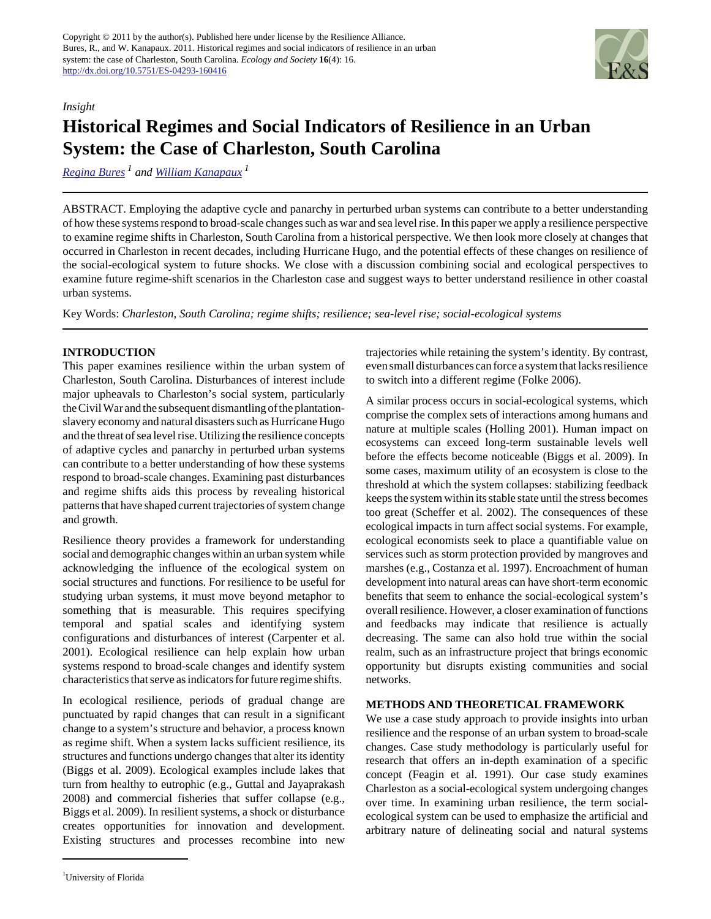

### *Insight*

# **Historical Regimes and Social Indicators of Resilience in an Urban System: the Case of Charleston, South Carolina**

*[Regina Bures](mailto:rbures@ufl.edu) 1 and [William Kanapaux](mailto:kanapaux@ufl.edu)<sup>1</sup>*

ABSTRACT. Employing the adaptive cycle and panarchy in perturbed urban systems can contribute to a better understanding of how these systems respond to broad-scale changes such as war and sea level rise. In this paper we apply a resilience perspective to examine regime shifts in Charleston, South Carolina from a historical perspective. We then look more closely at changes that occurred in Charleston in recent decades, including Hurricane Hugo, and the potential effects of these changes on resilience of the social-ecological system to future shocks. We close with a discussion combining social and ecological perspectives to examine future regime-shift scenarios in the Charleston case and suggest ways to better understand resilience in other coastal urban systems.

Key Words: *Charleston, South Carolina; regime shifts; resilience; sea-level rise; social-ecological systems*

# **INTRODUCTION**

This paper examines resilience within the urban system of Charleston, South Carolina. Disturbances of interest include major upheavals to Charleston's social system, particularly the Civil War and the subsequent dismantling of the plantationslavery economy and natural disasters such as Hurricane Hugo and the threat of sea level rise. Utilizing the resilience concepts of adaptive cycles and panarchy in perturbed urban systems can contribute to a better understanding of how these systems respond to broad-scale changes. Examining past disturbances and regime shifts aids this process by revealing historical patterns that have shaped current trajectories of system change and growth.

Resilience theory provides a framework for understanding social and demographic changes within an urban system while acknowledging the influence of the ecological system on social structures and functions. For resilience to be useful for studying urban systems, it must move beyond metaphor to something that is measurable. This requires specifying temporal and spatial scales and identifying system configurations and disturbances of interest (Carpenter et al. 2001). Ecological resilience can help explain how urban systems respond to broad-scale changes and identify system characteristics that serve as indicators for future regime shifts.

In ecological resilience, periods of gradual change are punctuated by rapid changes that can result in a significant change to a system's structure and behavior, a process known as regime shift. When a system lacks sufficient resilience, its structures and functions undergo changes that alter its identity (Biggs et al. 2009). Ecological examples include lakes that turn from healthy to eutrophic (e.g., Guttal and Jayaprakash 2008) and commercial fisheries that suffer collapse (e.g., Biggs et al. 2009). In resilient systems, a shock or disturbance creates opportunities for innovation and development. Existing structures and processes recombine into new trajectories while retaining the system's identity. By contrast, even small disturbances can force a system that lacks resilience to switch into a different regime (Folke 2006).

A similar process occurs in social-ecological systems, which comprise the complex sets of interactions among humans and nature at multiple scales (Holling 2001). Human impact on ecosystems can exceed long-term sustainable levels well before the effects become noticeable (Biggs et al. 2009). In some cases, maximum utility of an ecosystem is close to the threshold at which the system collapses: stabilizing feedback keeps the system within its stable state until the stress becomes too great (Scheffer et al. 2002). The consequences of these ecological impacts in turn affect social systems. For example, ecological economists seek to place a quantifiable value on services such as storm protection provided by mangroves and marshes (e.g., Costanza et al. 1997). Encroachment of human development into natural areas can have short-term economic benefits that seem to enhance the social-ecological system's overall resilience. However, a closer examination of functions and feedbacks may indicate that resilience is actually decreasing. The same can also hold true within the social realm, such as an infrastructure project that brings economic opportunity but disrupts existing communities and social networks.

#### **METHODS AND THEORETICAL FRAMEWORK**

We use a case study approach to provide insights into urban resilience and the response of an urban system to broad-scale changes. Case study methodology is particularly useful for research that offers an in-depth examination of a specific concept (Feagin et al. 1991). Our case study examines Charleston as a social-ecological system undergoing changes over time. In examining urban resilience, the term socialecological system can be used to emphasize the artificial and arbitrary nature of delineating social and natural systems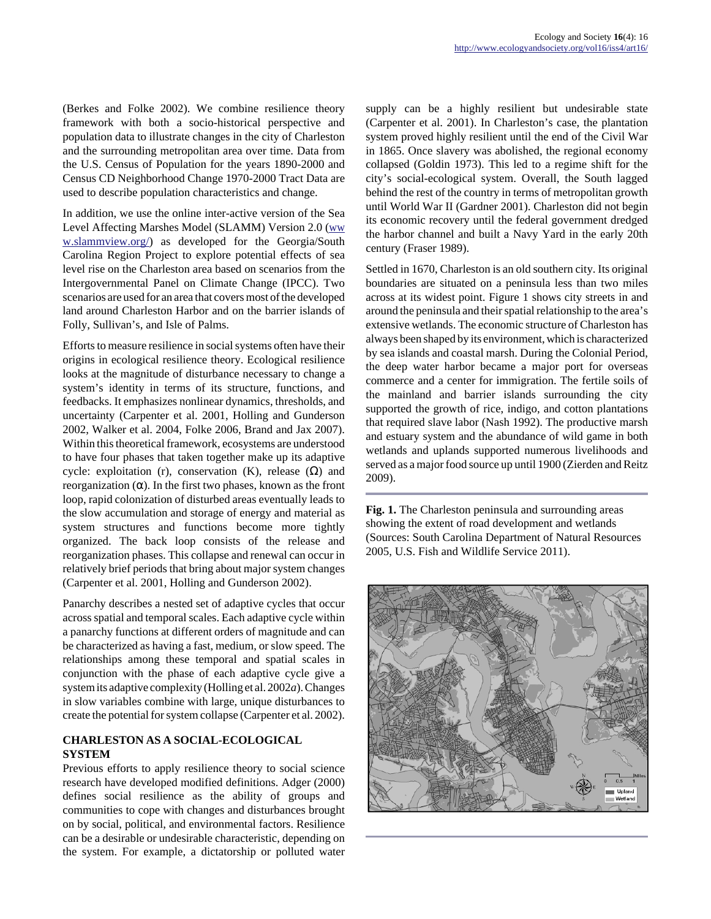(Berkes and Folke 2002). We combine resilience theory framework with both a socio-historical perspective and population data to illustrate changes in the city of Charleston and the surrounding metropolitan area over time. Data from the U.S. Census of Population for the years 1890-2000 and Census CD Neighborhood Change 1970-2000 Tract Data are used to describe population characteristics and change.

In addition, we use the online inter-active version of the Sea Level Affecting Marshes Model (SLAMM) Version 2.0 [\(ww](http://www.slammview.org/) [w.slammview.org/](http://www.slammview.org/)) as developed for the Georgia/South Carolina Region Project to explore potential effects of sea level rise on the Charleston area based on scenarios from the Intergovernmental Panel on Climate Change (IPCC). Two scenarios are used for an area that covers most of the developed land around Charleston Harbor and on the barrier islands of Folly, Sullivan's, and Isle of Palms.

Efforts to measure resilience in social systems often have their origins in ecological resilience theory. Ecological resilience looks at the magnitude of disturbance necessary to change a system's identity in terms of its structure, functions, and feedbacks. It emphasizes nonlinear dynamics, thresholds, and uncertainty (Carpenter et al. 2001, Holling and Gunderson 2002, Walker et al. 2004, Folke 2006, Brand and Jax 2007). Within this theoretical framework, ecosystems are understood to have four phases that taken together make up its adaptive cycle: exploitation (r), conservation (K), release  $(\Omega)$  and reorganization (α). In the first two phases, known as the front loop, rapid colonization of disturbed areas eventually leads to the slow accumulation and storage of energy and material as system structures and functions become more tightly organized. The back loop consists of the release and reorganization phases. This collapse and renewal can occur in relatively brief periods that bring about major system changes (Carpenter et al. 2001, Holling and Gunderson 2002).

Panarchy describes a nested set of adaptive cycles that occur across spatial and temporal scales. Each adaptive cycle within a panarchy functions at different orders of magnitude and can be characterized as having a fast, medium, or slow speed. The relationships among these temporal and spatial scales in conjunction with the phase of each adaptive cycle give a system its adaptive complexity (Holling et al. 2002*a*). Changes in slow variables combine with large, unique disturbances to create the potential for system collapse (Carpenter et al. 2002).

# **CHARLESTON AS A SOCIAL-ECOLOGICAL SYSTEM**

Previous efforts to apply resilience theory to social science research have developed modified definitions. Adger (2000) defines social resilience as the ability of groups and communities to cope with changes and disturbances brought on by social, political, and environmental factors. Resilience can be a desirable or undesirable characteristic, depending on the system. For example, a dictatorship or polluted water supply can be a highly resilient but undesirable state (Carpenter et al. 2001). In Charleston's case, the plantation system proved highly resilient until the end of the Civil War in 1865. Once slavery was abolished, the regional economy collapsed (Goldin 1973). This led to a regime shift for the city's social-ecological system. Overall, the South lagged behind the rest of the country in terms of metropolitan growth until World War II (Gardner 2001). Charleston did not begin its economic recovery until the federal government dredged the harbor channel and built a Navy Yard in the early 20th century (Fraser 1989).

Settled in 1670, Charleston is an old southern city. Its original boundaries are situated on a peninsula less than two miles across at its widest point. Figure 1 shows city streets in and around the peninsula and their spatial relationship to the area's extensive wetlands. The economic structure of Charleston has always been shaped by its environment, which is characterized by sea islands and coastal marsh. During the Colonial Period, the deep water harbor became a major port for overseas commerce and a center for immigration. The fertile soils of the mainland and barrier islands surrounding the city supported the growth of rice, indigo, and cotton plantations that required slave labor (Nash 1992). The productive marsh and estuary system and the abundance of wild game in both wetlands and uplands supported numerous livelihoods and served as a major food source up until 1900 (Zierden and Reitz 2009).

**Fig. 1.** The Charleston peninsula and surrounding areas showing the extent of road development and wetlands (Sources: South Carolina Department of Natural Resources 2005, U.S. Fish and Wildlife Service 2011).

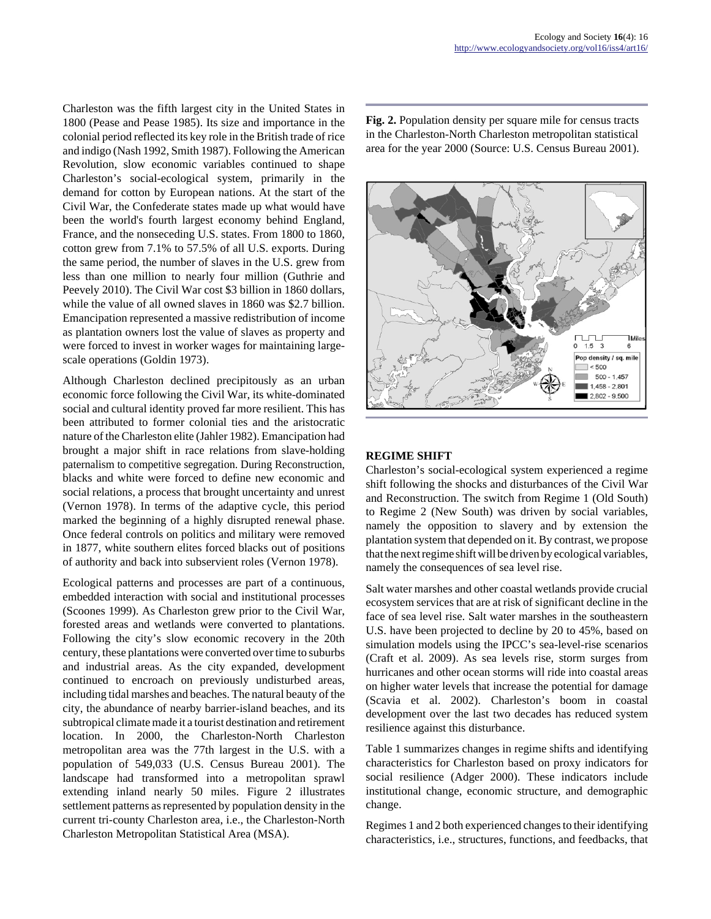Charleston was the fifth largest city in the United States in 1800 (Pease and Pease 1985). Its size and importance in the colonial period reflected its key role in the British trade of rice and indigo (Nash 1992, Smith 1987). Following the American Revolution, slow economic variables continued to shape Charleston's social-ecological system, primarily in the demand for cotton by European nations. At the start of the Civil War, the Confederate states made up what would have been the world's fourth largest economy behind England, France, and the nonseceding U.S. states. From 1800 to 1860, cotton grew from 7.1% to 57.5% of all U.S. exports. During the same period, the number of slaves in the U.S. grew from less than one million to nearly four million (Guthrie and Peevely 2010). The Civil War cost \$3 billion in 1860 dollars, while the value of all owned slaves in 1860 was \$2.7 billion. Emancipation represented a massive redistribution of income as plantation owners lost the value of slaves as property and were forced to invest in worker wages for maintaining largescale operations (Goldin 1973).

Although Charleston declined precipitously as an urban economic force following the Civil War, its white-dominated social and cultural identity proved far more resilient. This has been attributed to former colonial ties and the aristocratic nature of the Charleston elite (Jahler 1982). Emancipation had brought a major shift in race relations from slave-holding paternalism to competitive segregation. During Reconstruction, blacks and white were forced to define new economic and social relations, a process that brought uncertainty and unrest (Vernon 1978). In terms of the adaptive cycle, this period marked the beginning of a highly disrupted renewal phase. Once federal controls on politics and military were removed in 1877, white southern elites forced blacks out of positions of authority and back into subservient roles (Vernon 1978).

Ecological patterns and processes are part of a continuous, embedded interaction with social and institutional processes (Scoones 1999). As Charleston grew prior to the Civil War, forested areas and wetlands were converted to plantations. Following the city's slow economic recovery in the 20th century, these plantations were converted over time to suburbs and industrial areas. As the city expanded, development continued to encroach on previously undisturbed areas, including tidal marshes and beaches. The natural beauty of the city, the abundance of nearby barrier-island beaches, and its subtropical climate made it a tourist destination and retirement location. In 2000, the Charleston-North Charleston metropolitan area was the 77th largest in the U.S. with a population of 549,033 (U.S. Census Bureau 2001). The landscape had transformed into a metropolitan sprawl extending inland nearly 50 miles. Figure 2 illustrates settlement patterns as represented by population density in the current tri-county Charleston area, i.e., the Charleston-North Charleston Metropolitan Statistical Area (MSA).

**Fig. 2.** Population density per square mile for census tracts in the Charleston-North Charleston metropolitan statistical area for the year 2000 (Source: U.S. Census Bureau 2001).



#### **REGIME SHIFT**

Charleston's social-ecological system experienced a regime shift following the shocks and disturbances of the Civil War and Reconstruction. The switch from Regime 1 (Old South) to Regime 2 (New South) was driven by social variables, namely the opposition to slavery and by extension the plantation system that depended on it. By contrast, we propose that the next regime shift will be driven by ecological variables, namely the consequences of sea level rise.

Salt water marshes and other coastal wetlands provide crucial ecosystem services that are at risk of significant decline in the face of sea level rise. Salt water marshes in the southeastern U.S. have been projected to decline by 20 to 45%, based on simulation models using the IPCC's sea-level-rise scenarios (Craft et al. 2009). As sea levels rise, storm surges from hurricanes and other ocean storms will ride into coastal areas on higher water levels that increase the potential for damage (Scavia et al. 2002). Charleston's boom in coastal development over the last two decades has reduced system resilience against this disturbance.

Table 1 summarizes changes in regime shifts and identifying characteristics for Charleston based on proxy indicators for social resilience (Adger 2000). These indicators include institutional change, economic structure, and demographic change.

Regimes 1 and 2 both experienced changes to their identifying characteristics, i.e., structures, functions, and feedbacks, that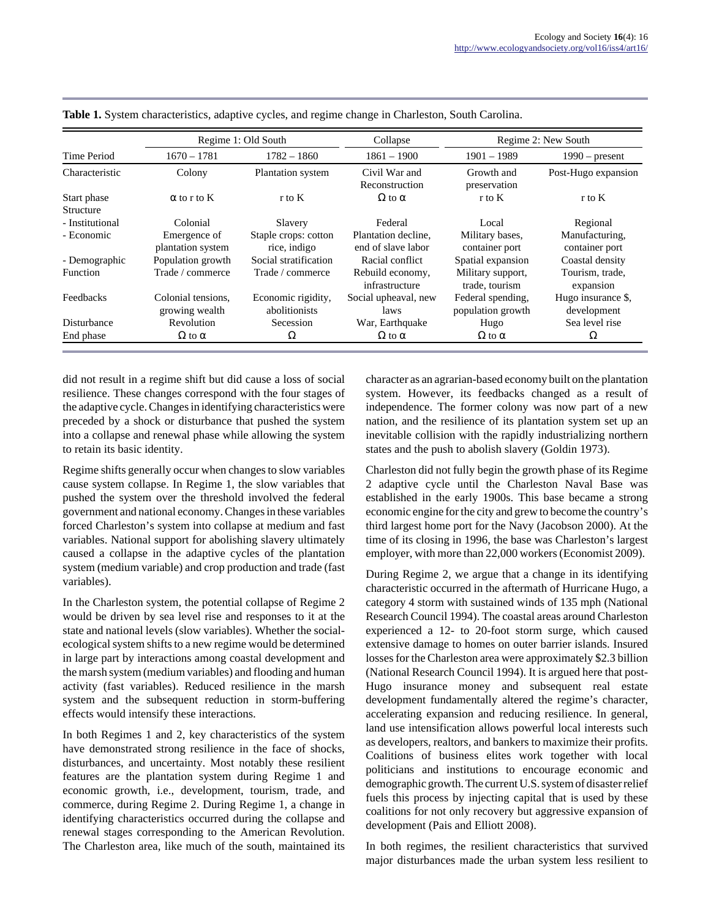|                  | Regime 1: Old South  |                       | Collapse                        | Regime 2: New South        |                     |  |
|------------------|----------------------|-----------------------|---------------------------------|----------------------------|---------------------|--|
| Time Period      | 1670 – 1781          | $1782 - 1860$         | $1861 - 1900$                   | $1901 - 1989$              | $1990$ – present    |  |
| Characteristic   | Colony               | Plantation system     | Civil War and<br>Reconstruction | Growth and<br>preservation | Post-Hugo expansion |  |
| Start phase      | $\alpha$ to r to K   | r to K                | $\Omega$ to $\alpha$            | r to K                     | r to K              |  |
| <b>Structure</b> |                      |                       |                                 |                            |                     |  |
| - Institutional  | Colonial             | Slavery               | Federal                         | Local                      | Regional            |  |
| - Economic       | Emergence of         | Staple crops: cotton  | Plantation decline,             | Military bases,            | Manufacturing,      |  |
|                  | plantation system    | rice, indigo          | end of slave labor              | container port             | container port      |  |
| - Demographic    | Population growth    | Social stratification | Racial conflict                 | Spatial expansion          | Coastal density     |  |
| <b>Function</b>  | Trade / commerce     | Trade / commerce      | Rebuild economy,                | Military support,          | Tourism, trade,     |  |
|                  |                      |                       | infrastructure                  | trade, tourism             | expansion           |  |
| Feedbacks        | Colonial tensions,   | Economic rigidity,    | Social upheaval, new            | Federal spending.          | Hugo insurance \$.  |  |
|                  | growing wealth       | abolitionists         | laws                            | population growth          | development         |  |
| Disturbance      | Revolution           | Secession             | War, Earthquake                 | Hugo                       | Sea level rise      |  |
| End phase        | $\Omega$ to $\alpha$ | Ω                     | $\Omega$ to $\alpha$            | $\Omega$ to $\alpha$       | Ω                   |  |
|                  |                      |                       |                                 |                            |                     |  |

|  |  | Table 1. System characteristics, adaptive cycles, and regime change in Charleston, South Carolina. |  |  |  |  |  |  |  |
|--|--|----------------------------------------------------------------------------------------------------|--|--|--|--|--|--|--|
|--|--|----------------------------------------------------------------------------------------------------|--|--|--|--|--|--|--|

did not result in a regime shift but did cause a loss of social resilience. These changes correspond with the four stages of the adaptive cycle. Changes in identifying characteristics were preceded by a shock or disturbance that pushed the system into a collapse and renewal phase while allowing the system to retain its basic identity.

Regime shifts generally occur when changes to slow variables cause system collapse. In Regime 1, the slow variables that pushed the system over the threshold involved the federal government and national economy. Changes in these variables forced Charleston's system into collapse at medium and fast variables. National support for abolishing slavery ultimately caused a collapse in the adaptive cycles of the plantation system (medium variable) and crop production and trade (fast variables).

In the Charleston system, the potential collapse of Regime 2 would be driven by sea level rise and responses to it at the state and national levels (slow variables). Whether the socialecological system shifts to a new regime would be determined in large part by interactions among coastal development and the marsh system (medium variables) and flooding and human activity (fast variables). Reduced resilience in the marsh system and the subsequent reduction in storm-buffering effects would intensify these interactions.

In both Regimes 1 and 2, key characteristics of the system have demonstrated strong resilience in the face of shocks, disturbances, and uncertainty. Most notably these resilient features are the plantation system during Regime 1 and economic growth, i.e., development, tourism, trade, and commerce, during Regime 2. During Regime 1, a change in identifying characteristics occurred during the collapse and renewal stages corresponding to the American Revolution. The Charleston area, like much of the south, maintained its character as an agrarian-based economy built on the plantation system. However, its feedbacks changed as a result of independence. The former colony was now part of a new nation, and the resilience of its plantation system set up an inevitable collision with the rapidly industrializing northern states and the push to abolish slavery (Goldin 1973).

Charleston did not fully begin the growth phase of its Regime 2 adaptive cycle until the Charleston Naval Base was established in the early 1900s. This base became a strong economic engine for the city and grew to become the country's third largest home port for the Navy (Jacobson 2000). At the time of its closing in 1996, the base was Charleston's largest employer, with more than 22,000 workers (Economist 2009).

During Regime 2, we argue that a change in its identifying characteristic occurred in the aftermath of Hurricane Hugo, a category 4 storm with sustained winds of 135 mph (National Research Council 1994). The coastal areas around Charleston experienced a 12- to 20-foot storm surge, which caused extensive damage to homes on outer barrier islands. Insured losses for the Charleston area were approximately \$2.3 billion (National Research Council 1994). It is argued here that post-Hugo insurance money and subsequent real estate development fundamentally altered the regime's character, accelerating expansion and reducing resilience. In general, land use intensification allows powerful local interests such as developers, realtors, and bankers to maximize their profits. Coalitions of business elites work together with local politicians and institutions to encourage economic and demographic growth. The current U.S. system of disaster relief fuels this process by injecting capital that is used by these coalitions for not only recovery but aggressive expansion of development (Pais and Elliott 2008).

In both regimes, the resilient characteristics that survived major disturbances made the urban system less resilient to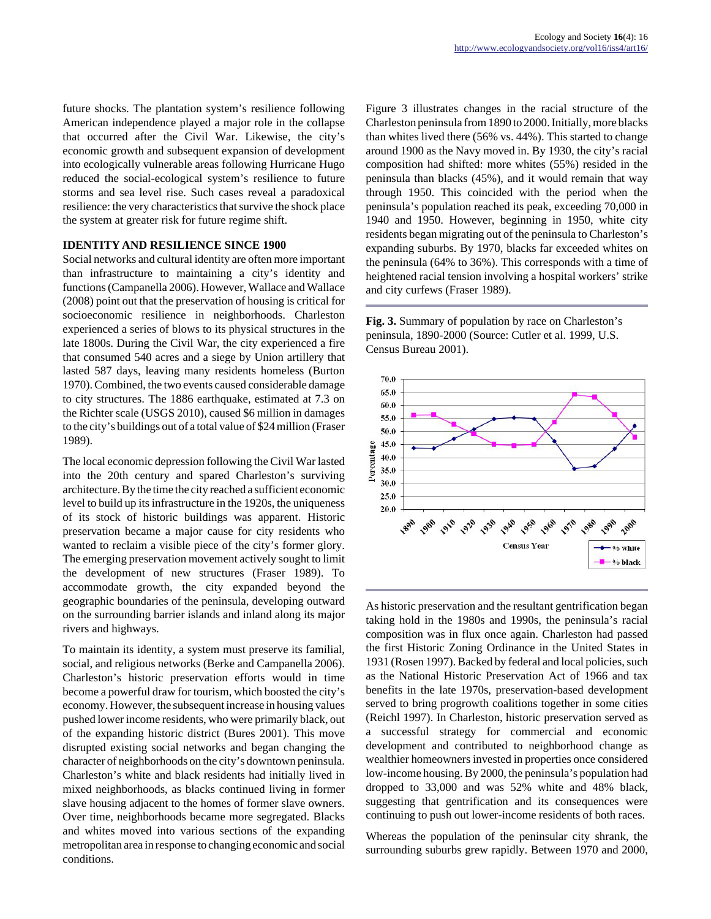future shocks. The plantation system's resilience following American independence played a major role in the collapse that occurred after the Civil War. Likewise, the city's economic growth and subsequent expansion of development into ecologically vulnerable areas following Hurricane Hugo reduced the social-ecological system's resilience to future storms and sea level rise. Such cases reveal a paradoxical resilience: the very characteristics that survive the shock place the system at greater risk for future regime shift.

#### **IDENTITY AND RESILIENCE SINCE 1900**

Social networks and cultural identity are often more important than infrastructure to maintaining a city's identity and functions (Campanella 2006). However, Wallace and Wallace (2008) point out that the preservation of housing is critical for socioeconomic resilience in neighborhoods. Charleston experienced a series of blows to its physical structures in the late 1800s. During the Civil War, the city experienced a fire that consumed 540 acres and a siege by Union artillery that lasted 587 days, leaving many residents homeless (Burton 1970). Combined, the two events caused considerable damage to city structures. The 1886 earthquake, estimated at 7.3 on the Richter scale (USGS 2010), caused \$6 million in damages to the city's buildings out of a total value of \$24 million (Fraser 1989).

The local economic depression following the Civil War lasted into the 20th century and spared Charleston's surviving architecture. By the time the city reached a sufficient economic level to build up its infrastructure in the 1920s, the uniqueness of its stock of historic buildings was apparent. Historic preservation became a major cause for city residents who wanted to reclaim a visible piece of the city's former glory. The emerging preservation movement actively sought to limit the development of new structures (Fraser 1989). To accommodate growth, the city expanded beyond the geographic boundaries of the peninsula, developing outward on the surrounding barrier islands and inland along its major rivers and highways.

To maintain its identity, a system must preserve its familial, social, and religious networks (Berke and Campanella 2006). Charleston's historic preservation efforts would in time become a powerful draw for tourism, which boosted the city's economy. However, the subsequent increase in housing values pushed lower income residents, who were primarily black, out of the expanding historic district (Bures 2001). This move disrupted existing social networks and began changing the character of neighborhoods on the city's downtown peninsula. Charleston's white and black residents had initially lived in mixed neighborhoods, as blacks continued living in former slave housing adjacent to the homes of former slave owners. Over time, neighborhoods became more segregated. Blacks and whites moved into various sections of the expanding metropolitan area in response to changing economic and social conditions.

Figure 3 illustrates changes in the racial structure of the Charleston peninsula from 1890 to 2000. Initially, more blacks than whites lived there (56% vs. 44%). This started to change around 1900 as the Navy moved in. By 1930, the city's racial composition had shifted: more whites (55%) resided in the peninsula than blacks (45%), and it would remain that way through 1950. This coincided with the period when the peninsula's population reached its peak, exceeding 70,000 in 1940 and 1950. However, beginning in 1950, white city residents began migrating out of the peninsula to Charleston's expanding suburbs. By 1970, blacks far exceeded whites on the peninsula (64% to 36%). This corresponds with a time of heightened racial tension involving a hospital workers' strike and city curfews (Fraser 1989).

**Fig. 3.** Summary of population by race on Charleston's peninsula, 1890-2000 (Source: Cutler et al. 1999, U.S. Census Bureau 2001).



As historic preservation and the resultant gentrification began taking hold in the 1980s and 1990s, the peninsula's racial composition was in flux once again. Charleston had passed the first Historic Zoning Ordinance in the United States in 1931 (Rosen 1997). Backed by federal and local policies, such as the National Historic Preservation Act of 1966 and tax benefits in the late 1970s, preservation-based development served to bring progrowth coalitions together in some cities (Reichl 1997). In Charleston, historic preservation served as a successful strategy for commercial and economic development and contributed to neighborhood change as wealthier homeowners invested in properties once considered low-income housing. By 2000, the peninsula's population had dropped to 33,000 and was 52% white and 48% black, suggesting that gentrification and its consequences were continuing to push out lower-income residents of both races.

Whereas the population of the peninsular city shrank, the surrounding suburbs grew rapidly. Between 1970 and 2000,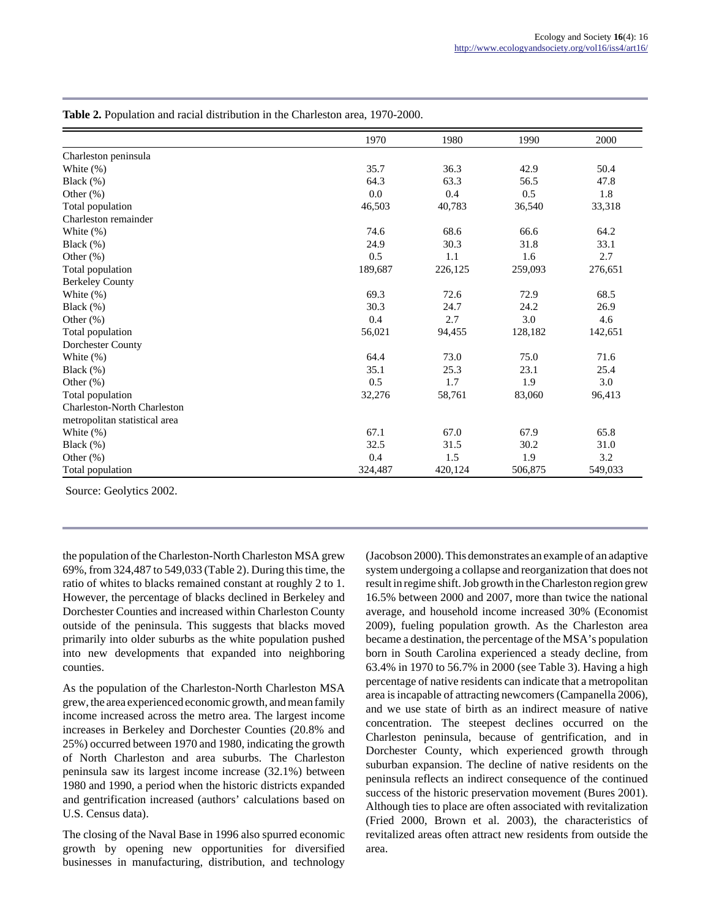|                                    | 1970    | 1980    | 1990    | 2000    |
|------------------------------------|---------|---------|---------|---------|
| Charleston peninsula               |         |         |         |         |
| White $(\%)$                       | 35.7    | 36.3    | 42.9    | 50.4    |
| Black $(\%)$                       | 64.3    | 63.3    | 56.5    | 47.8    |
| Other $(\%)$                       | 0.0     | 0.4     | 0.5     | 1.8     |
| Total population                   | 46,503  | 40,783  | 36,540  | 33,318  |
| Charleston remainder               |         |         |         |         |
| White $(\%)$                       | 74.6    | 68.6    | 66.6    | 64.2    |
| Black $(\%)$                       | 24.9    | 30.3    | 31.8    | 33.1    |
| Other $(\%)$                       | 0.5     | 1.1     | 1.6     | 2.7     |
| Total population                   | 189,687 | 226,125 | 259,093 | 276,651 |
| <b>Berkeley County</b>             |         |         |         |         |
| White $(\%)$                       | 69.3    | 72.6    | 72.9    | 68.5    |
| Black (%)                          | 30.3    | 24.7    | 24.2    | 26.9    |
| Other $(\%)$                       | 0.4     | 2.7     | 3.0     | 4.6     |
| Total population                   | 56,021  | 94,455  | 128,182 | 142,651 |
| Dorchester County                  |         |         |         |         |
| White $(\%)$                       | 64.4    | 73.0    | 75.0    | 71.6    |
| Black $(\%)$                       | 35.1    | 25.3    | 23.1    | 25.4    |
| Other $(\% )$                      | 0.5     | 1.7     | 1.9     | 3.0     |
| Total population                   | 32,276  | 58,761  | 83,060  | 96,413  |
| <b>Charleston-North Charleston</b> |         |         |         |         |
| metropolitan statistical area      |         |         |         |         |
| White $(\%)$                       | 67.1    | 67.0    | 67.9    | 65.8    |
| Black $(\%)$                       | 32.5    | 31.5    | 30.2    | 31.0    |
| Other $(\%)$                       | 0.4     | 1.5     | 1.9     | 3.2     |
| Total population                   | 324,487 | 420,124 | 506,875 | 549,033 |

**Table 2.** Population and racial distribution in the Charleston area, 1970-2000.

Source: Geolytics 2002.

the population of the Charleston-North Charleston MSA grew 69%, from 324,487 to 549,033 (Table 2). During this time, the ratio of whites to blacks remained constant at roughly 2 to 1. However, the percentage of blacks declined in Berkeley and Dorchester Counties and increased within Charleston County outside of the peninsula. This suggests that blacks moved primarily into older suburbs as the white population pushed into new developments that expanded into neighboring counties.

As the population of the Charleston-North Charleston MSA grew, the area experienced economic growth, and mean family income increased across the metro area. The largest income increases in Berkeley and Dorchester Counties (20.8% and 25%) occurred between 1970 and 1980, indicating the growth of North Charleston and area suburbs. The Charleston peninsula saw its largest income increase (32.1%) between 1980 and 1990, a period when the historic districts expanded and gentrification increased (authors' calculations based on U.S. Census data).

The closing of the Naval Base in 1996 also spurred economic growth by opening new opportunities for diversified businesses in manufacturing, distribution, and technology (Jacobson 2000). This demonstrates an example of an adaptive system undergoing a collapse and reorganization that does not result in regime shift. Job growth in the Charleston region grew 16.5% between 2000 and 2007, more than twice the national average, and household income increased 30% (Economist 2009), fueling population growth. As the Charleston area became a destination, the percentage of the MSA's population born in South Carolina experienced a steady decline, from 63.4% in 1970 to 56.7% in 2000 (see Table 3). Having a high percentage of native residents can indicate that a metropolitan area is incapable of attracting newcomers (Campanella 2006), and we use state of birth as an indirect measure of native concentration. The steepest declines occurred on the Charleston peninsula, because of gentrification, and in Dorchester County, which experienced growth through suburban expansion. The decline of native residents on the peninsula reflects an indirect consequence of the continued success of the historic preservation movement (Bures 2001). Although ties to place are often associated with revitalization (Fried 2000, Brown et al. 2003), the characteristics of revitalized areas often attract new residents from outside the area.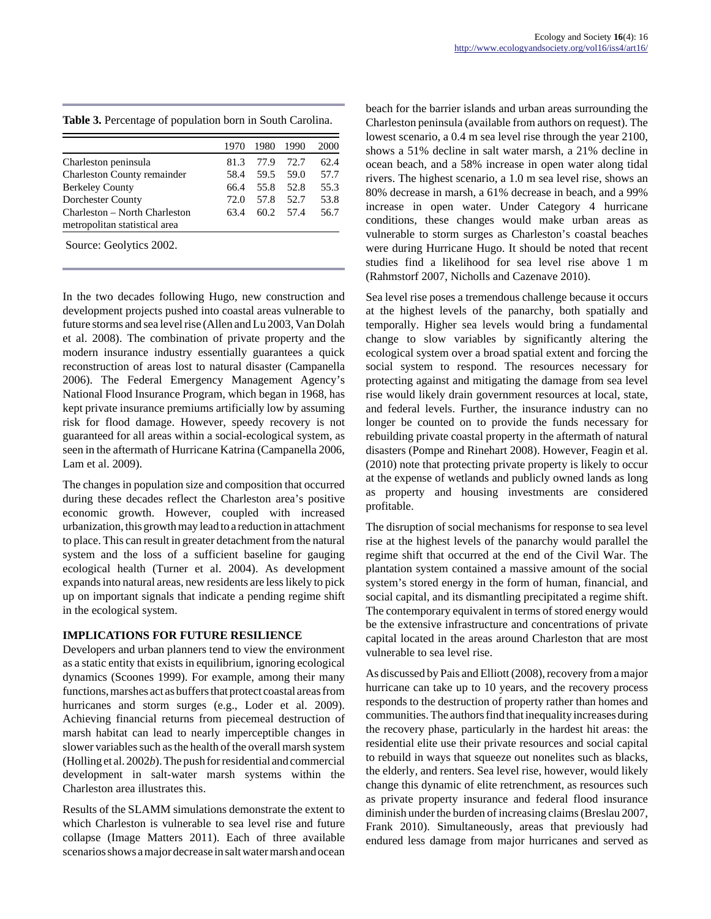| Table 3. Percentage of population born in South Carolina. |  |  |  |
|-----------------------------------------------------------|--|--|--|
|                                                           |  |  |  |

| 81.3<br>77.9 |      |                              |
|--------------|------|------------------------------|
|              | 72.7 | 62.4                         |
| 58.4         | 59.0 | 57.7                         |
| 66.4         | 52.8 | 55.3                         |
| 72.0         | 52.7 | 53.8                         |
| 63.4         | 57.4 | 56.7                         |
|              |      | 59.5<br>55.8<br>57.8<br>60.2 |

In the two decades following Hugo, new construction and development projects pushed into coastal areas vulnerable to future storms and sea level rise (Allen and Lu 2003, Van Dolah et al. 2008). The combination of private property and the modern insurance industry essentially guarantees a quick reconstruction of areas lost to natural disaster (Campanella 2006). The Federal Emergency Management Agency's National Flood Insurance Program, which began in 1968, has kept private insurance premiums artificially low by assuming risk for flood damage. However, speedy recovery is not guaranteed for all areas within a social-ecological system, as seen in the aftermath of Hurricane Katrina (Campanella 2006, Lam et al. 2009).

The changes in population size and composition that occurred during these decades reflect the Charleston area's positive economic growth. However, coupled with increased urbanization, this growth may lead to a reduction in attachment to place. This can result in greater detachment from the natural system and the loss of a sufficient baseline for gauging ecological health (Turner et al. 2004). As development expands into natural areas, new residents are less likely to pick up on important signals that indicate a pending regime shift in the ecological system.

#### **IMPLICATIONS FOR FUTURE RESILIENCE**

Developers and urban planners tend to view the environment as a static entity that exists in equilibrium, ignoring ecological dynamics (Scoones 1999). For example, among their many functions, marshes act as buffers that protect coastal areas from hurricanes and storm surges (e.g., Loder et al. 2009). Achieving financial returns from piecemeal destruction of marsh habitat can lead to nearly imperceptible changes in slower variables such as the health of the overall marsh system (Holling et al. 2002*b*). The push for residential and commercial development in salt-water marsh systems within the Charleston area illustrates this.

Results of the SLAMM simulations demonstrate the extent to which Charleston is vulnerable to sea level rise and future collapse (Image Matters 2011). Each of three available scenarios shows a major decrease in salt water marsh and ocean beach for the barrier islands and urban areas surrounding the Charleston peninsula (available from authors on request). The lowest scenario, a 0.4 m sea level rise through the year 2100, shows a 51% decline in salt water marsh, a 21% decline in ocean beach, and a 58% increase in open water along tidal rivers. The highest scenario, a 1.0 m sea level rise, shows an 80% decrease in marsh, a 61% decrease in beach, and a 99% increase in open water. Under Category 4 hurricane conditions, these changes would make urban areas as vulnerable to storm surges as Charleston's coastal beaches were during Hurricane Hugo. It should be noted that recent studies find a likelihood for sea level rise above 1 m (Rahmstorf 2007, Nicholls and Cazenave 2010).

Sea level rise poses a tremendous challenge because it occurs at the highest levels of the panarchy, both spatially and temporally. Higher sea levels would bring a fundamental change to slow variables by significantly altering the ecological system over a broad spatial extent and forcing the social system to respond. The resources necessary for protecting against and mitigating the damage from sea level rise would likely drain government resources at local, state, and federal levels. Further, the insurance industry can no longer be counted on to provide the funds necessary for rebuilding private coastal property in the aftermath of natural disasters (Pompe and Rinehart 2008). However, Feagin et al. (2010) note that protecting private property is likely to occur at the expense of wetlands and publicly owned lands as long as property and housing investments are considered profitable.

The disruption of social mechanisms for response to sea level rise at the highest levels of the panarchy would parallel the regime shift that occurred at the end of the Civil War. The plantation system contained a massive amount of the social system's stored energy in the form of human, financial, and social capital, and its dismantling precipitated a regime shift. The contemporary equivalent in terms of stored energy would be the extensive infrastructure and concentrations of private capital located in the areas around Charleston that are most vulnerable to sea level rise.

As discussed by Pais and Elliott (2008), recovery from a major hurricane can take up to 10 years, and the recovery process responds to the destruction of property rather than homes and communities. The authors find that inequality increases during the recovery phase, particularly in the hardest hit areas: the residential elite use their private resources and social capital to rebuild in ways that squeeze out nonelites such as blacks, the elderly, and renters. Sea level rise, however, would likely change this dynamic of elite retrenchment, as resources such as private property insurance and federal flood insurance diminish under the burden of increasing claims (Breslau 2007, Frank 2010). Simultaneously, areas that previously had endured less damage from major hurricanes and served as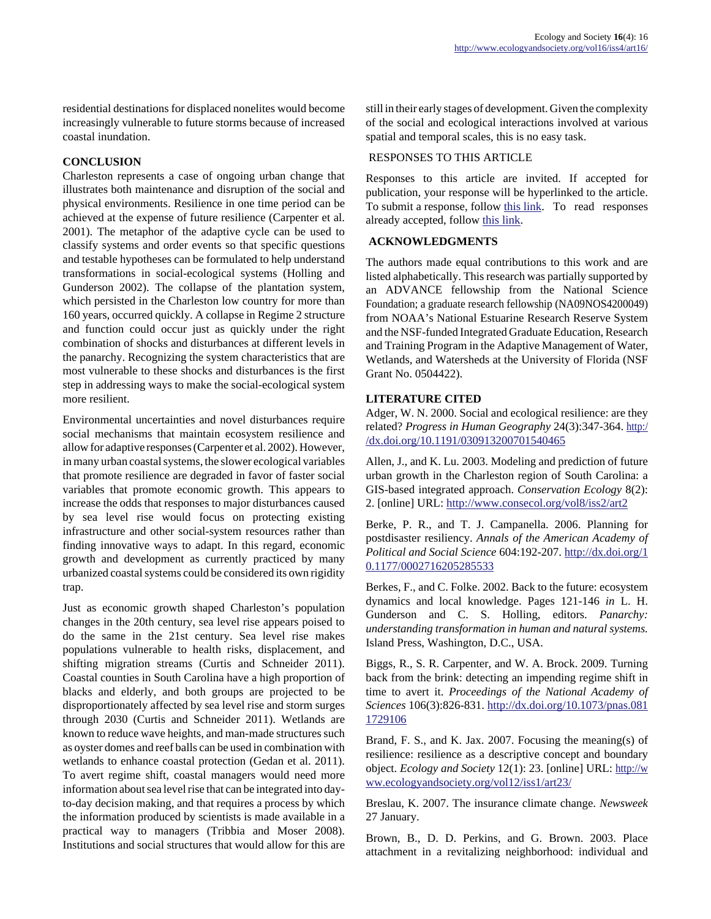residential destinations for displaced nonelites would become increasingly vulnerable to future storms because of increased coastal inundation.

## **CONCLUSION**

Charleston represents a case of ongoing urban change that illustrates both maintenance and disruption of the social and physical environments. Resilience in one time period can be achieved at the expense of future resilience (Carpenter et al. 2001). The metaphor of the adaptive cycle can be used to classify systems and order events so that specific questions and testable hypotheses can be formulated to help understand transformations in social-ecological systems (Holling and Gunderson 2002). The collapse of the plantation system, which persisted in the Charleston low country for more than 160 years, occurred quickly. A collapse in Regime 2 structure and function could occur just as quickly under the right combination of shocks and disturbances at different levels in the panarchy. Recognizing the system characteristics that are most vulnerable to these shocks and disturbances is the first step in addressing ways to make the social-ecological system more resilient.

Environmental uncertainties and novel disturbances require social mechanisms that maintain ecosystem resilience and allow for adaptive responses (Carpenter et al. 2002). However, in many urban coastal systems, the slower ecological variables that promote resilience are degraded in favor of faster social variables that promote economic growth. This appears to increase the odds that responses to major disturbances caused by sea level rise would focus on protecting existing infrastructure and other social-system resources rather than finding innovative ways to adapt. In this regard, economic growth and development as currently practiced by many urbanized coastal systems could be considered its own rigidity trap.

Just as economic growth shaped Charleston's population changes in the 20th century, sea level rise appears poised to do the same in the 21st century. Sea level rise makes populations vulnerable to health risks, displacement, and shifting migration streams (Curtis and Schneider 2011). Coastal counties in South Carolina have a high proportion of blacks and elderly, and both groups are projected to be disproportionately affected by sea level rise and storm surges through 2030 (Curtis and Schneider 2011). Wetlands are known to reduce wave heights, and man-made structures such as oyster domes and reef balls can be used in combination with wetlands to enhance coastal protection (Gedan et al. 2011). To avert regime shift, coastal managers would need more information about sea level rise that can be integrated into dayto-day decision making, and that requires a process by which the information produced by scientists is made available in a practical way to managers (Tribbia and Moser 2008). Institutions and social structures that would allow for this are still in their early stages of development. Given the complexity of the social and ecological interactions involved at various spatial and temporal scales, this is no easy task.

# RESPONSES TO THIS ARTICLE

Responses to this article are invited. If accepted for publication, your response will be hyperlinked to the article. To submit a response, follow [this link](http://www.ecologyandsociety.org/responses.php?articleid=4293&mode=add). To read responses already accepted, follow [this link](http://www.ecologyandsociety.org/responses.php?articleid=4293).

## **ACKNOWLEDGMENTS**

The authors made equal contributions to this work and are listed alphabetically. This research was partially supported by an ADVANCE fellowship from the National Science Foundation; a graduate research fellowship (NA09NOS4200049) from NOAA's National Estuarine Research Reserve System and the NSF-funded Integrated Graduate Education, Research and Training Program in the Adaptive Management of Water, Wetlands, and Watersheds at the University of Florida (NSF Grant No. 0504422).

# **LITERATURE CITED**

Adger, W. N. 2000. Social and ecological resilience: are they related? *Progress in Human Geography* 24(3):347-364. [http:/](http://dx.doi.org/10.1191/030913200701540465) [/dx.doi.org/10.1191/030913200701540465](http://dx.doi.org/10.1191/030913200701540465)

Allen, J., and K. Lu. 2003. Modeling and prediction of future urban growth in the Charleston region of South Carolina: a GIS-based integrated approach. *Conservation Ecology* 8(2): 2. [online] URL:<http://www.consecol.org/vol8/iss2/art2>

Berke, P. R., and T. J. Campanella. 2006. Planning for postdisaster resiliency. *Annals of the American Academy of Political and Social Science* 604:192-207. [http://dx.doi.org/1](http://dx.doi.org/10.1177/0002716205285533) [0.1177/0002716205285533](http://dx.doi.org/10.1177/0002716205285533)

Berkes, F., and C. Folke. 2002. Back to the future: ecosystem dynamics and local knowledge. Pages 121-146 *in* L. H. Gunderson and C. S. Holling, editors. *Panarchy: understanding transformation in human and natural systems.* Island Press, Washington, D.C., USA.

Biggs, R., S. R. Carpenter, and W. A. Brock. 2009. Turning back from the brink: detecting an impending regime shift in time to avert it. *Proceedings of the National Academy of Sciences* 106(3):826-831. [http://dx.doi.org/10.1073/pnas.081](http://dx.doi.org/10.1073/pnas.0811729106) [1729106](http://dx.doi.org/10.1073/pnas.0811729106)

Brand, F. S., and K. Jax. 2007. Focusing the meaning(s) of resilience: resilience as a descriptive concept and boundary object. *Ecology and Society* 12(1): 23. [online] URL: [http://w](http://www.ecologyandsociety.org/vol12/iss1/art23/) [ww.ecologyandsociety.org/vol12/iss1/art23/](http://www.ecologyandsociety.org/vol12/iss1/art23/)

Breslau, K. 2007. The insurance climate change. *Newsweek* 27 January.

Brown, B., D. D. Perkins, and G. Brown. 2003. Place attachment in a revitalizing neighborhood: individual and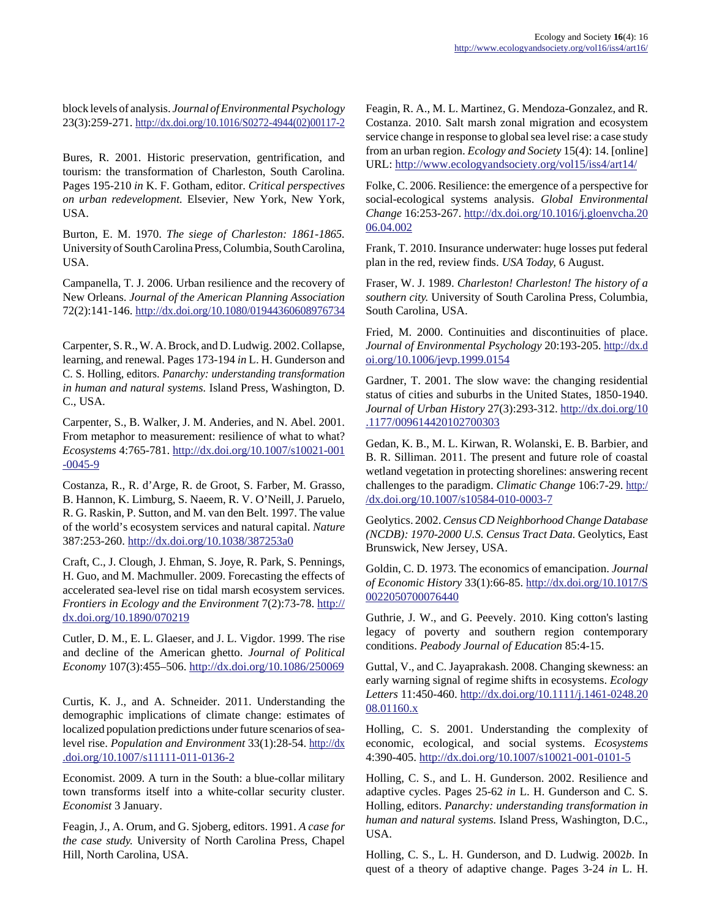block levels of analysis. *Journal of Environmental Psychology* 23(3):259-271. [http://dx.doi.org/10.1016/S0272-4944\(02\)00117-2](http://dx.doi.org/10.1016/S0272-4944(02)00117-2)

Bures, R. 2001. Historic preservation, gentrification, and tourism: the transformation of Charleston, South Carolina. Pages 195-210 *in* K. F. Gotham, editor. *Critical perspectives on urban redevelopment.* Elsevier, New York, New York, USA.

Burton, E. M. 1970. *The siege of Charleston: 1861-1865.* University of South Carolina Press, Columbia, South Carolina, USA.

Campanella, T. J. 2006. Urban resilience and the recovery of New Orleans. *Journal of the American Planning Association* 72(2):141-146. <http://dx.doi.org/10.1080/01944360608976734>

Carpenter, S. R., W. A. Brock, and D. Ludwig. 2002. Collapse, learning, and renewal. Pages 173-194 *in* L. H. Gunderson and C. S. Holling, editors. *Panarchy: understanding transformation in human and natural systems.* Island Press, Washington, D. C., USA.

Carpenter, S., B. Walker, J. M. Anderies, and N. Abel. 2001. From metaphor to measurement: resilience of what to what? *Ecosystems* 4:765-781. [http://dx.doi.org/10.1007/s10021-001](http://dx.doi.org/10.1007/s10021-001-0045-9) [-0045-9](http://dx.doi.org/10.1007/s10021-001-0045-9)

Costanza, R., R. d'Arge, R. de Groot, S. Farber, M. Grasso, B. Hannon, K. Limburg, S. Naeem, R. V. O'Neill, J. Paruelo, R. G. Raskin, P. Sutton, and M. van den Belt. 1997. The value of the world's ecosystem services and natural capital. *Nature* 387:253-260.<http://dx.doi.org/10.1038/387253a0>

Craft, C., J. Clough, J. Ehman, S. Joye, R. Park, S. Pennings, H. Guo, and M. Machmuller. 2009. Forecasting the effects of accelerated sea-level rise on tidal marsh ecosystem services. *Frontiers in Ecology and the Environment* 7(2):73-78. [http://](http://dx.doi.org/10.1890/070219) [dx.doi.org/10.1890/070219](http://dx.doi.org/10.1890/070219)

Cutler, D. M., E. L. Glaeser, and J. L. Vigdor. 1999. The rise and decline of the American ghetto. *Journal of Political Economy* 107(3):455–506.<http://dx.doi.org/10.1086/250069>

Curtis, K. J., and A. Schneider. 2011. Understanding the demographic implications of climate change: estimates of localized population predictions under future scenarios of sealevel rise. *Population and Environment* 33(1):28-54. [http://dx](http://dx.doi.org/10.1007/s11111-011-0136-2) [.doi.org/10.1007/s11111-011-0136-2](http://dx.doi.org/10.1007/s11111-011-0136-2)

Economist. 2009. A turn in the South: a blue-collar military town transforms itself into a white-collar security cluster. *Economist* 3 January.

Feagin, J., A. Orum, and G. Sjoberg, editors. 1991. *A case for the case study.* University of North Carolina Press, Chapel Hill, North Carolina, USA.

Feagin, R. A., M. L. Martinez, G. Mendoza-Gonzalez, and R. Costanza. 2010. Salt marsh zonal migration and ecosystem service change in response to global sea level rise: a case study from an urban region. *Ecology and Society* 15(4): 14. [online] URL:<http://www.ecologyandsociety.org/vol15/iss4/art14/>

Folke, C. 2006. Resilience: the emergence of a perspective for social-ecological systems analysis. *Global Environmental Change* 16:253-267. [http://dx.doi.org/10.1016/j.gloenvcha.20](http://dx.doi.org/10.1016/j.gloenvcha.2006.04.002) [06.04.002](http://dx.doi.org/10.1016/j.gloenvcha.2006.04.002)

Frank, T. 2010. Insurance underwater: huge losses put federal plan in the red, review finds. *USA Today,* 6 August.

Fraser, W. J. 1989. *Charleston! Charleston! The history of a southern city.* University of South Carolina Press, Columbia, South Carolina, USA.

Fried, M. 2000. Continuities and discontinuities of place. *Journal of Environmental Psychology* 20:193-205. [http://dx.d](http://dx.doi.org/10.1006/jevp.1999.0154) [oi.org/10.1006/jevp.1999.0154](http://dx.doi.org/10.1006/jevp.1999.0154)

Gardner, T. 2001. The slow wave: the changing residential status of cities and suburbs in the United States, 1850-1940. *Journal of Urban History* 27(3):293-312. [http://dx.doi.org/10](http://dx.doi.org/10.1177/009614420102700303) [.1177/009614420102700303](http://dx.doi.org/10.1177/009614420102700303)

Gedan, K. B., M. L. Kirwan, R. Wolanski, E. B. Barbier, and B. R. Silliman. 2011. The present and future role of coastal wetland vegetation in protecting shorelines: answering recent challenges to the paradigm. *Climatic Change* 106:7-29. [http:/](http://dx.doi.org/10.1007/s10584-010-0003-7) [/dx.doi.org/10.1007/s10584-010-0003-7](http://dx.doi.org/10.1007/s10584-010-0003-7)

Geolytics. 2002. *Census CD Neighborhood Change Database (NCDB): 1970-2000 U.S. Census Tract Data.* Geolytics, East Brunswick, New Jersey, USA.

Goldin, C. D. 1973. The economics of emancipation. *Journal of Economic History* 33(1):66-85. [http://dx.doi.org/10.1017/S](http://dx.doi.org/10.1017/S0022050700076440) [0022050700076440](http://dx.doi.org/10.1017/S0022050700076440)

Guthrie, J. W., and G. Peevely. 2010. King cotton's lasting legacy of poverty and southern region contemporary conditions. *Peabody Journal of Education* 85:4-15.

Guttal, V., and C. Jayaprakash. 2008. Changing skewness: an early warning signal of regime shifts in ecosystems. *Ecology Letters* 11:450-460. [http://dx.doi.org/10.1111/j.1461-0248.20](http://dx.doi.org/10.1111/j.1461-0248.2008.01160.x) [08.01160.x](http://dx.doi.org/10.1111/j.1461-0248.2008.01160.x)

Holling, C. S. 2001. Understanding the complexity of economic, ecological, and social systems. *Ecosystems* 4:390-405.<http://dx.doi.org/10.1007/s10021-001-0101-5>

Holling, C. S., and L. H. Gunderson. 2002. Resilience and adaptive cycles. Pages 25-62 *in* L. H. Gunderson and C. S. Holling, editors. *Panarchy: understanding transformation in human and natural systems.* Island Press, Washington, D.C., USA.

Holling, C. S., L. H. Gunderson, and D. Ludwig. 2002*b*. In quest of a theory of adaptive change. Pages 3-24 *in* L. H.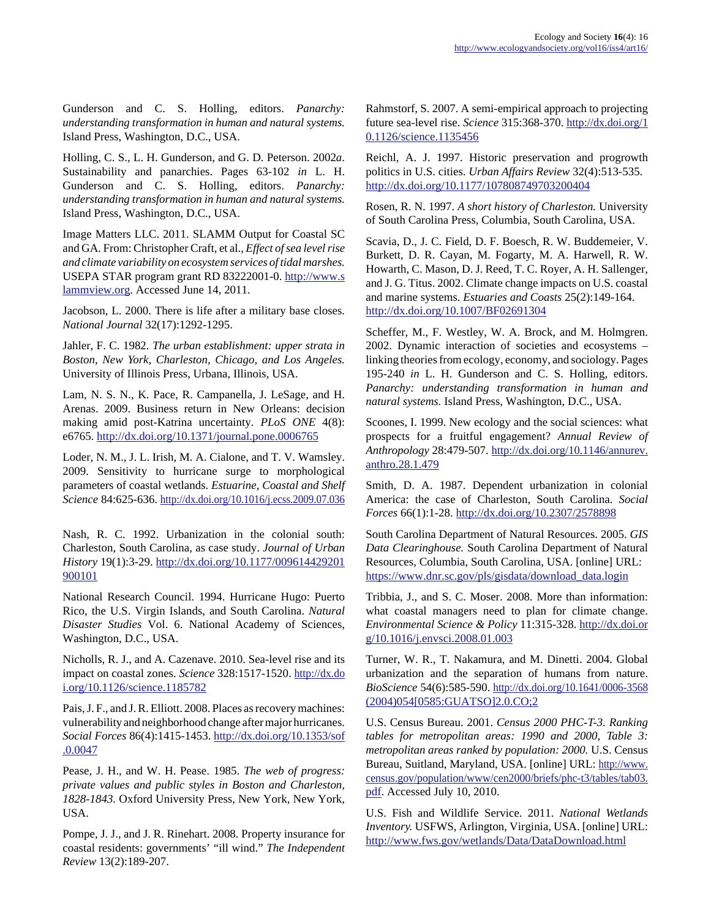Gunderson and C. S. Holling, editors. *Panarchy: understanding transformation in human and natural systems.* Island Press, Washington, D.C., USA.

Holling, C. S., L. H. Gunderson, and G. D. Peterson. 2002*a*. Sustainability and panarchies. Pages 63-102 *in* L. H. Gunderson and C. S. Holling, editors. *Panarchy: understanding transformation in human and natural systems.* Island Press, Washington, D.C., USA.

Image Matters LLC. 2011. SLAMM Output for Coastal SC and GA. From: Christopher Craft, et al., *Effect of sea level rise and climate variability on ecosystem services of tidal marshes.* USEPA STAR program grant RD 83222001-0. [http://www.s](http://www.slammview.org) [lammview.org](http://www.slammview.org). Accessed June 14, 2011.

Jacobson, L. 2000. There is life after a military base closes. *National Journal* 32(17):1292-1295.

Jahler, F. C. 1982. *The urban establishment: upper strata in Boston, New York, Charleston, Chicago, and Los Angeles.* University of Illinois Press, Urbana, Illinois, USA.

Lam, N. S. N., K. Pace, R. Campanella, J. LeSage, and H. Arenas. 2009. Business return in New Orleans: decision making amid post-Katrina uncertainty. *PLoS ONE* 4(8): e6765.<http://dx.doi.org/10.1371/journal.pone.0006765>

Loder, N. M., J. L. Irish, M. A. Cialone, and T. V. Wamsley. 2009. Sensitivity to hurricane surge to morphological parameters of coastal wetlands. *Estuarine, Coastal and Shelf Science* 84:625-636.<http://dx.doi.org/10.1016/j.ecss.2009.07.036>

Nash, R. C. 1992. Urbanization in the colonial south: Charleston, South Carolina, as case study. *Journal of Urban History* 19(1):3-29. [http://dx.doi.org/10.1177/009614429201](http://dx.doi.org/10.1177/009614429201900101) [900101](http://dx.doi.org/10.1177/009614429201900101)

National Research Council. 1994. Hurricane Hugo: Puerto Rico, the U.S. Virgin Islands, and South Carolina. *Natural Disaster Studies* Vol. 6. National Academy of Sciences, Washington, D.C., USA.

Nicholls, R. J., and A. Cazenave. 2010. Sea-level rise and its impact on coastal zones. *Science* 328:1517-1520. [http://dx.do](http://dx.doi.org/10.1126/science.1185782) [i.org/10.1126/science.1185782](http://dx.doi.org/10.1126/science.1185782)

Pais, J. F., and J. R. Elliott. 2008. Places as recovery machines: vulnerability and neighborhood change after major hurricanes. *Social Forces* 86(4):1415-1453. [http://dx.doi.org/10.1353/sof](http://dx.doi.org/10.1353/sof.0.0047) [.0.0047](http://dx.doi.org/10.1353/sof.0.0047)

Pease, J. H., and W. H. Pease. 1985. *The web of progress: private values and public styles in Boston and Charleston, 1828-1843.* Oxford University Press, New York, New York, USA.

Pompe, J. J., and J. R. Rinehart. 2008. Property insurance for coastal residents: governments' "ill wind." *The Independent Review* 13(2):189-207.

Rahmstorf, S. 2007. A semi-empirical approach to projecting future sea-level rise. *Science* 315:368-370. [http://dx.doi.org/1](http://dx.doi.org/10.1126/science.1135456) [0.1126/science.1135456](http://dx.doi.org/10.1126/science.1135456)

Reichl, A. J. 1997. Historic preservation and progrowth politics in U.S. cities. *Urban Affairs Review* 32(4):513-535. <http://dx.doi.org/10.1177/107808749703200404>

Rosen, R. N. 1997. *A short history of Charleston.* University of South Carolina Press, Columbia, South Carolina, USA.

Scavia, D., J. C. Field, D. F. Boesch, R. W. Buddemeier, V. Burkett, D. R. Cayan, M. Fogarty, M. A. Harwell, R. W. Howarth, C. Mason, D. J. Reed, T. C. Royer, A. H. Sallenger, and J. G. Titus. 2002. Climate change impacts on U.S. coastal and marine systems. *Estuaries and Coasts* 25(2):149-164. <http://dx.doi.org/10.1007/BF02691304>

Scheffer, M., F. Westley, W. A. Brock, and M. Holmgren. 2002. Dynamic interaction of societies and ecosystems – linking theories from ecology, economy, and sociology. Pages 195-240 *in* L. H. Gunderson and C. S. Holling, editors. *Panarchy: understanding transformation in human and natural systems.* Island Press, Washington, D.C., USA.

Scoones, I. 1999. New ecology and the social sciences: what prospects for a fruitful engagement? *Annual Review of Anthropology* 28:479-507. [http://dx.doi.org/10.1146/annurev.](http://dx.doi.org/10.1146/annurev.anthro.28.1.479) [anthro.28.1.479](http://dx.doi.org/10.1146/annurev.anthro.28.1.479)

Smith, D. A. 1987. Dependent urbanization in colonial America: the case of Charleston, South Carolina. *Social Forces* 66(1):1-28. <http://dx.doi.org/10.2307/2578898>

South Carolina Department of Natural Resources. 2005. *GIS Data Clearinghouse.* South Carolina Department of Natural Resources, Columbia, South Carolina, USA. [online] URL: [https://www.dnr.sc.gov/pls/gisdata/download\\_data.login](http://https://www.dnr.sc.gov/pls/gisdata/download_data.login)

Tribbia, J., and S. C. Moser. 2008. More than information: what coastal managers need to plan for climate change. *Environmental Science & Policy* 11:315-328. [http://dx.doi.or](http://dx.doi.org/10.1016/j.envsci.2008.01.003) [g/10.1016/j.envsci.2008.01.003](http://dx.doi.org/10.1016/j.envsci.2008.01.003)

Turner, W. R., T. Nakamura, and M. Dinetti. 2004. Global urbanization and the separation of humans from nature. *BioScience* 54(6):585-590. [http://dx.doi.org/10.1641/0006-3568](http://dx.doi.org/10.1641/0006-3568(2004)054[0585:GUATSO]2.0.CO;2) [\(2004\)054\[0585:GUATSO\]2.0.CO;2](http://dx.doi.org/10.1641/0006-3568(2004)054[0585:GUATSO]2.0.CO;2)

U.S. Census Bureau. 2001. *Census 2000 PHC-T-3. Ranking tables for metropolitan areas: 1990 and 2000, Table 3: metropolitan areas ranked by population: 2000.* U.S. Census Bureau, Suitland, Maryland, USA. [online] URL: [http://www.](http://www.census.gov/population/www/cen2000/briefs/phc-t3/tables/tab03.pdf) census.gov/population/www/cen2000/briefs/phc-t3/tables/tab03. [pdf](http://www.census.gov/population/www/cen2000/briefs/phc-t3/tables/tab03.pdf). Accessed July 10, 2010.

U.S. Fish and Wildlife Service. 2011. *National Wetlands Inventory.* USFWS, Arlington, Virginia, USA. [online] URL: <http://www.fws.gov/wetlands/Data/DataDownload.html>